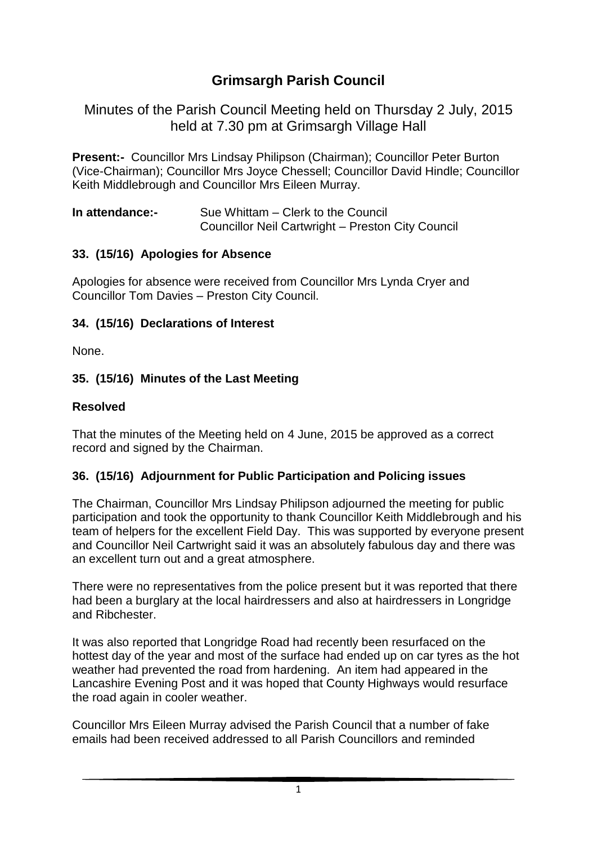# **Grimsargh Parish Council**

Minutes of the Parish Council Meeting held on Thursday 2 July, 2015 held at 7.30 pm at Grimsargh Village Hall

**Present:-** Councillor Mrs Lindsay Philipson (Chairman); Councillor Peter Burton (Vice-Chairman); Councillor Mrs Joyce Chessell; Councillor David Hindle; Councillor Keith Middlebrough and Councillor Mrs Eileen Murray.

| In attendance:- | Sue Whittam – Clerk to the Council                |
|-----------------|---------------------------------------------------|
|                 | Councillor Neil Cartwright - Preston City Council |

#### **33. (15/16) Apologies for Absence**

Apologies for absence were received from Councillor Mrs Lynda Cryer and Councillor Tom Davies – Preston City Council.

#### **34. (15/16) Declarations of Interest**

None.

### **35. (15/16) Minutes of the Last Meeting**

#### **Resolved**

That the minutes of the Meeting held on 4 June, 2015 be approved as a correct record and signed by the Chairman.

### **36. (15/16) Adjournment for Public Participation and Policing issues**

The Chairman, Councillor Mrs Lindsay Philipson adjourned the meeting for public participation and took the opportunity to thank Councillor Keith Middlebrough and his team of helpers for the excellent Field Day. This was supported by everyone present and Councillor Neil Cartwright said it was an absolutely fabulous day and there was an excellent turn out and a great atmosphere.

There were no representatives from the police present but it was reported that there had been a burglary at the local hairdressers and also at hairdressers in Longridge and Ribchester.

It was also reported that Longridge Road had recently been resurfaced on the hottest day of the year and most of the surface had ended up on car tyres as the hot weather had prevented the road from hardening. An item had appeared in the Lancashire Evening Post and it was hoped that County Highways would resurface the road again in cooler weather.

Councillor Mrs Eileen Murray advised the Parish Council that a number of fake emails had been received addressed to all Parish Councillors and reminded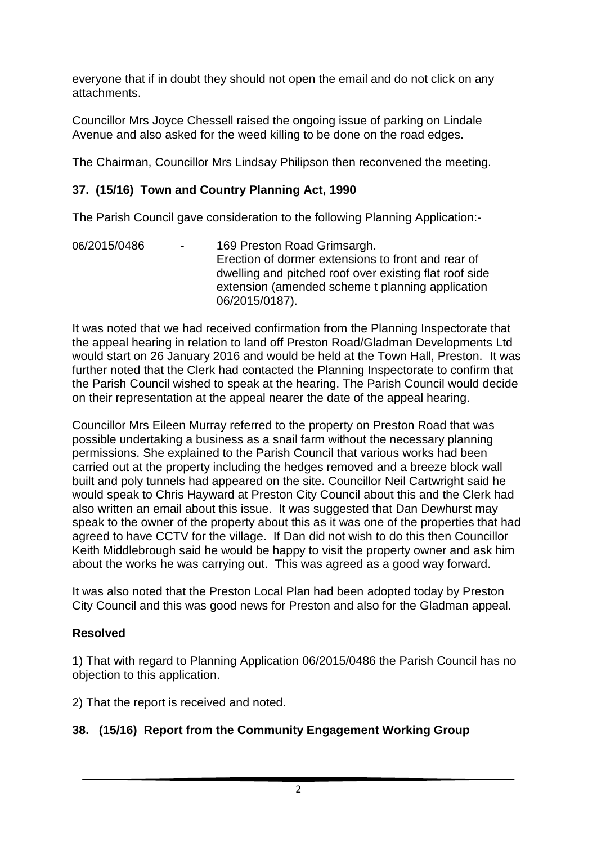everyone that if in doubt they should not open the email and do not click on any attachments.

Councillor Mrs Joyce Chessell raised the ongoing issue of parking on Lindale Avenue and also asked for the weed killing to be done on the road edges.

The Chairman, Councillor Mrs Lindsay Philipson then reconvened the meeting.

### **37. (15/16) Town and Country Planning Act, 1990**

The Parish Council gave consideration to the following Planning Application:-

06/2015/0486 - 169 Preston Road Grimsargh. Erection of dormer extensions to front and rear of dwelling and pitched roof over existing flat roof side extension (amended scheme t planning application 06/2015/0187).

It was noted that we had received confirmation from the Planning Inspectorate that the appeal hearing in relation to land off Preston Road/Gladman Developments Ltd would start on 26 January 2016 and would be held at the Town Hall, Preston. It was further noted that the Clerk had contacted the Planning Inspectorate to confirm that the Parish Council wished to speak at the hearing. The Parish Council would decide on their representation at the appeal nearer the date of the appeal hearing.

Councillor Mrs Eileen Murray referred to the property on Preston Road that was possible undertaking a business as a snail farm without the necessary planning permissions. She explained to the Parish Council that various works had been carried out at the property including the hedges removed and a breeze block wall built and poly tunnels had appeared on the site. Councillor Neil Cartwright said he would speak to Chris Hayward at Preston City Council about this and the Clerk had also written an email about this issue. It was suggested that Dan Dewhurst may speak to the owner of the property about this as it was one of the properties that had agreed to have CCTV for the village. If Dan did not wish to do this then Councillor Keith Middlebrough said he would be happy to visit the property owner and ask him about the works he was carrying out. This was agreed as a good way forward.

It was also noted that the Preston Local Plan had been adopted today by Preston City Council and this was good news for Preston and also for the Gladman appeal.

### **Resolved**

1) That with regard to Planning Application 06/2015/0486 the Parish Council has no objection to this application.

2) That the report is received and noted.

### **38. (15/16) Report from the Community Engagement Working Group**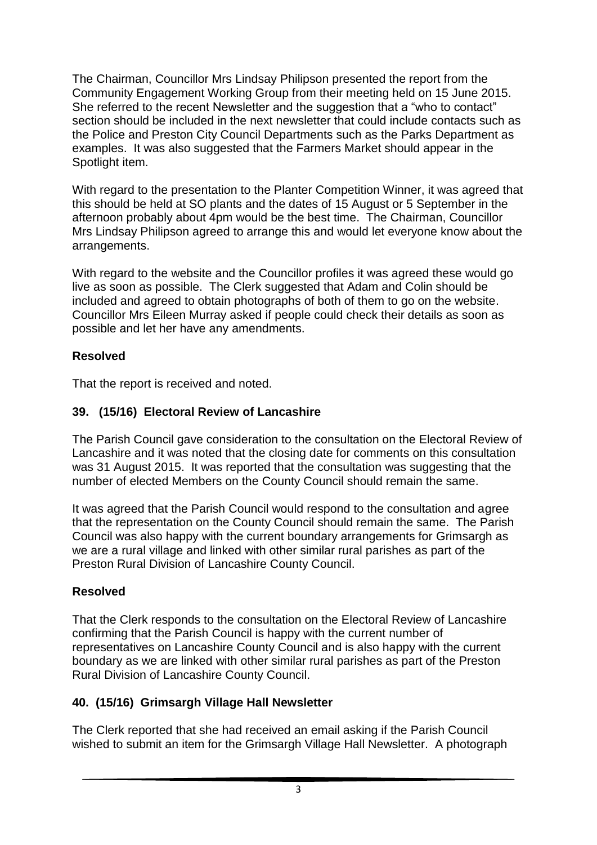The Chairman, Councillor Mrs Lindsay Philipson presented the report from the Community Engagement Working Group from their meeting held on 15 June 2015. She referred to the recent Newsletter and the suggestion that a "who to contact" section should be included in the next newsletter that could include contacts such as the Police and Preston City Council Departments such as the Parks Department as examples. It was also suggested that the Farmers Market should appear in the Spotlight item.

With regard to the presentation to the Planter Competition Winner, it was agreed that this should be held at SO plants and the dates of 15 August or 5 September in the afternoon probably about 4pm would be the best time. The Chairman, Councillor Mrs Lindsay Philipson agreed to arrange this and would let everyone know about the arrangements.

With regard to the website and the Councillor profiles it was agreed these would go live as soon as possible. The Clerk suggested that Adam and Colin should be included and agreed to obtain photographs of both of them to go on the website. Councillor Mrs Eileen Murray asked if people could check their details as soon as possible and let her have any amendments.

### **Resolved**

That the report is received and noted.

### **39. (15/16) Electoral Review of Lancashire**

The Parish Council gave consideration to the consultation on the Electoral Review of Lancashire and it was noted that the closing date for comments on this consultation was 31 August 2015. It was reported that the consultation was suggesting that the number of elected Members on the County Council should remain the same.

It was agreed that the Parish Council would respond to the consultation and agree that the representation on the County Council should remain the same. The Parish Council was also happy with the current boundary arrangements for Grimsargh as we are a rural village and linked with other similar rural parishes as part of the Preston Rural Division of Lancashire County Council.

# **Resolved**

That the Clerk responds to the consultation on the Electoral Review of Lancashire confirming that the Parish Council is happy with the current number of representatives on Lancashire County Council and is also happy with the current boundary as we are linked with other similar rural parishes as part of the Preston Rural Division of Lancashire County Council.

# **40. (15/16) Grimsargh Village Hall Newsletter**

The Clerk reported that she had received an email asking if the Parish Council wished to submit an item for the Grimsargh Village Hall Newsletter. A photograph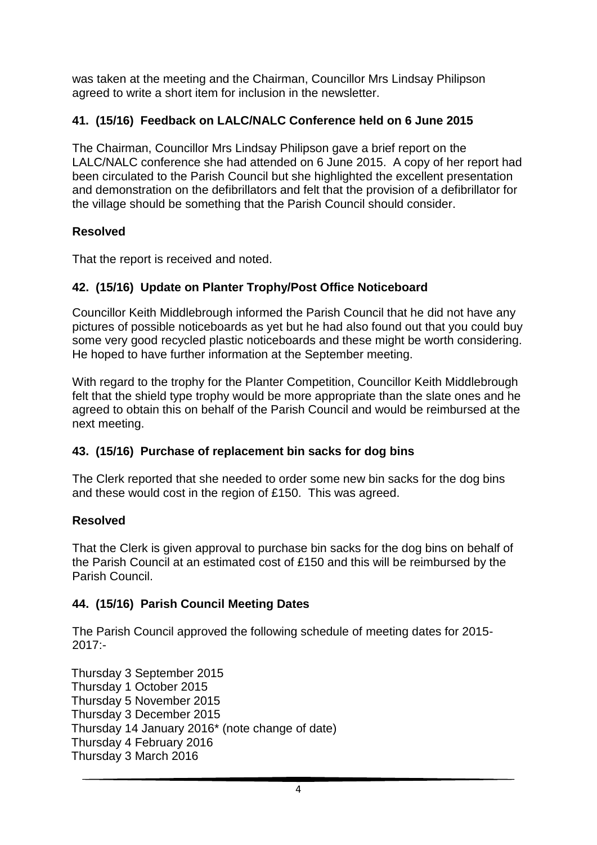was taken at the meeting and the Chairman, Councillor Mrs Lindsay Philipson agreed to write a short item for inclusion in the newsletter.

### **41. (15/16) Feedback on LALC/NALC Conference held on 6 June 2015**

The Chairman, Councillor Mrs Lindsay Philipson gave a brief report on the LALC/NALC conference she had attended on 6 June 2015. A copy of her report had been circulated to the Parish Council but she highlighted the excellent presentation and demonstration on the defibrillators and felt that the provision of a defibrillator for the village should be something that the Parish Council should consider.

### **Resolved**

That the report is received and noted.

### **42. (15/16) Update on Planter Trophy/Post Office Noticeboard**

Councillor Keith Middlebrough informed the Parish Council that he did not have any pictures of possible noticeboards as yet but he had also found out that you could buy some very good recycled plastic noticeboards and these might be worth considering. He hoped to have further information at the September meeting.

With regard to the trophy for the Planter Competition, Councillor Keith Middlebrough felt that the shield type trophy would be more appropriate than the slate ones and he agreed to obtain this on behalf of the Parish Council and would be reimbursed at the next meeting.

### **43. (15/16) Purchase of replacement bin sacks for dog bins**

The Clerk reported that she needed to order some new bin sacks for the dog bins and these would cost in the region of £150. This was agreed.

### **Resolved**

That the Clerk is given approval to purchase bin sacks for the dog bins on behalf of the Parish Council at an estimated cost of £150 and this will be reimbursed by the Parish Council.

### **44. (15/16) Parish Council Meeting Dates**

The Parish Council approved the following schedule of meeting dates for 2015-  $2017: -$ 

Thursday 3 September 2015 Thursday 1 October 2015 Thursday 5 November 2015 Thursday 3 December 2015 Thursday 14 January 2016\* (note change of date) Thursday 4 February 2016 Thursday 3 March 2016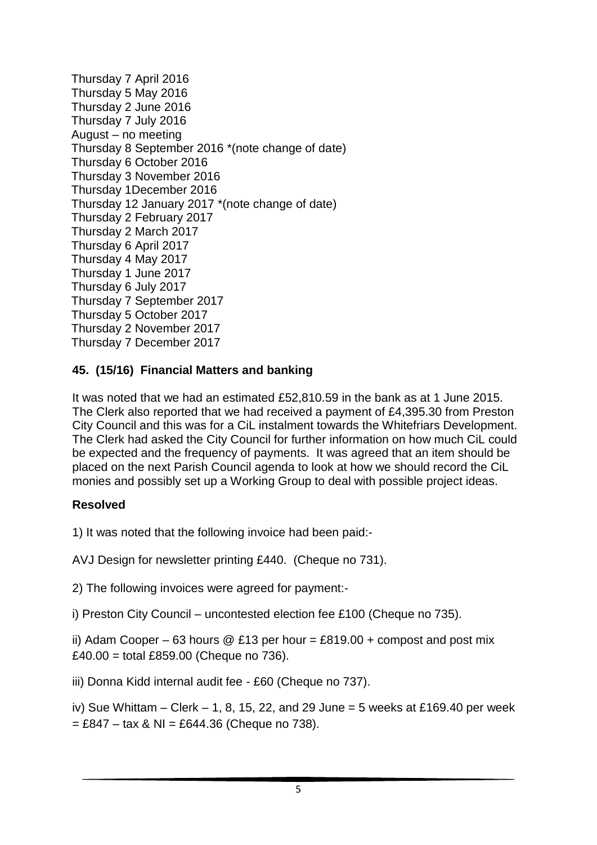Thursday 7 April 2016 Thursday 5 May 2016 Thursday 2 June 2016 Thursday 7 July 2016 August – no meeting Thursday 8 September 2016 \*(note change of date) Thursday 6 October 2016 Thursday 3 November 2016 Thursday 1December 2016 Thursday 12 January 2017 \*(note change of date) Thursday 2 February 2017 Thursday 2 March 2017 Thursday 6 April 2017 Thursday 4 May 2017 Thursday 1 June 2017 Thursday 6 July 2017 Thursday 7 September 2017 Thursday 5 October 2017 Thursday 2 November 2017 Thursday 7 December 2017

### **45. (15/16) Financial Matters and banking**

It was noted that we had an estimated £52,810.59 in the bank as at 1 June 2015. The Clerk also reported that we had received a payment of £4,395.30 from Preston City Council and this was for a CiL instalment towards the Whitefriars Development. The Clerk had asked the City Council for further information on how much CiL could be expected and the frequency of payments. It was agreed that an item should be placed on the next Parish Council agenda to look at how we should record the CiL monies and possibly set up a Working Group to deal with possible project ideas.

### **Resolved**

1) It was noted that the following invoice had been paid:-

AVJ Design for newsletter printing £440. (Cheque no 731).

2) The following invoices were agreed for payment:-

i) Preston City Council – uncontested election fee £100 (Cheque no 735).

ii) Adam Cooper – 63 hours @ £13 per hour = £819.00 + compost and post mix £40.00 = total £859.00 (Cheque no 736).

iii) Donna Kidd internal audit fee - £60 (Cheque no 737).

iv) Sue Whittam – Clerk – 1, 8, 15, 22, and 29 June = 5 weeks at £169.40 per week  $= \pounds847 - \text{tax } 8 \text{ NI} = \pounds644.36 \text{ (Cheque no 738).}$